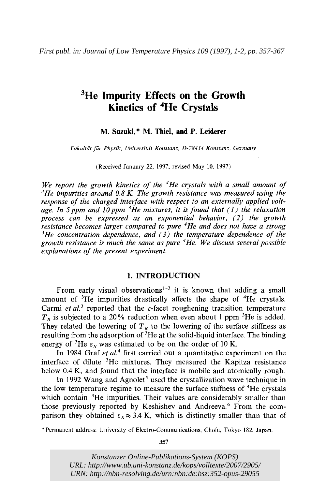# <sup>3</sup>He Impurity Effects on the Growth **Kinetics of 4He Crystals**

### **M. Suzuki,\* M. Thiel, and P. Leiderer**

*Fukultut fur Physik, Universitat Konstunz,* 0-78434 *Konstunz. Gerrnuny* 

(Received January 22, 1997; revised May 10, 1997)

*We report the growth kinetics of the 4He crystals with a small amount of 3He impurities around 0.8 K. The growth resistance was measured using the response of the charged interface with respect to an externally applied voltage. In 5ppm and lOppm 3He mixtures, it is found that (I) the relaxation process can be expressed as an exponential behavior, (2) the growth resistance becomes larger compared to pure 4He and does not have a strong 3He concentration dependence, and* **(3)** *the temperature dependence of the growth resistance is much the same as pure 4He. We discuss several possible explanations of the present experiment.* 

## **1. INTRODUCTION**

From early visual observations<sup> $1-3$ </sup> it is known that adding a small amount of 3He impurities drastically affects the shape of 4He crystals. Carmi *et al.*<sup>3</sup> reported that the *c*-facet roughening transition temperature  $T<sub>R</sub>$  is subjected to a 20% reduction when even about 1 ppm <sup>3</sup>He is added. They related the lowering of  $T_R$  to the lowering of the surface stiffness as resulting from the adsorption of  ${}^{3}$ He at the solid-liquid interface. The binding energy of <sup>3</sup>He  $\varepsilon$ , was estimated to be on the order of 10 K.

In 1984 Graf *et aL4* first carried out a quantitative experiment on the interface of dilute  ${}^{3}$ He mixtures. They measured the Kapitza resistance below 0.4 K, and found that the interface is mobile and atomically rough.

In 1992 Wang and Agnolet<sup>5</sup> used the crystallization wave technique in the low temperature regime to measure the surface stiffness of <sup>4</sup>He crystals which contain <sup>3</sup>He impurities. Their values are considerably smaller than those previously reported by Keshishev and Andreeva.<sup>6</sup> From the comparison they obtained  $\varepsilon_s \approx 3.4$  K, which is distinctly smaller than that of

\*Permanent address: University of Electro-Communications, Chofu, Tokyo 182, Japan.

**357** 

*Konstanzer Online-Publikations-System (KOPS) URL[: http://www.ub.uni-konstanz.de/kops/volltexte/2007/2905/](http://www.ub.uni-konstanz.de/kops/volltexte/2007/2905/)  URN:<http://nbn-resolving.de/urn:nbn:de:bsz:352-opus-29055>*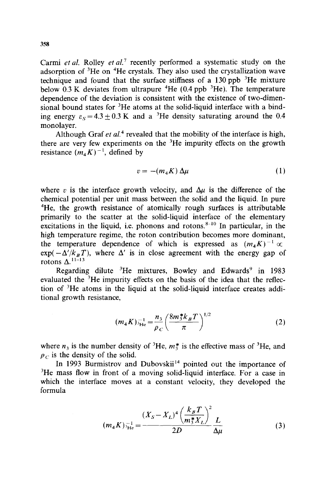Carmi *et* al. Rolley *et* al.' recently performed a systematic study on the adsorption of  ${}^{3}$ He on  ${}^{4}$ He crystals. They also used the crystallization wave technique and found that the surface stiffness of a  $130$  ppb  $3$ He mixture below  $0.3 \text{ K}$  deviates from ultrapure  ${}^{4}$ He (0.4 ppb  ${}^{3}$ He). The temperature dependence of the deviation is consistent with the existence of two-dimensional bound states for  ${}^{3}$ He atoms at the solid-liquid interface with a binding energy  $\varepsilon_s = 4.3 + 0.3$  K and a <sup>3</sup>He density saturating around the 0.4 monolayer.

Although Graf *et al.*<sup>4</sup> revealed that the mobility of the interface is high, there are very few experiments on the  $3$ He impurity effects on the growth resistance  $(m_4 K)^{-1}$ , defined by

$$
v = -(m_4 K) \Delta \mu \tag{1}
$$

where v is the interface growth velocity, and  $\Delta \mu$  is the difference of the chemical potential per unit mass between the solid and the liquid. In pure <sup>4</sup>He, the growth resistance of atomically rough surfaces is attributable primarily to the scatter at the solid-liquid interface of the elementary excitations in the liquid, i.e. phonons and rotons. $8-10$  In particular, in the high temperature regime, the roton contribution becomes more dominant, the temperature dependence of which is expressed as  $(m_A K)^{-1} \propto$  $\exp(-\Delta/k_BT)$ , where  $\Delta'$  is in close agreement with the energy gap of rotons  $\Lambda$ <sup>11-13</sup>

Regarding dilute <sup>3</sup>He mixtures, Bowley and Edwards<sup>9</sup> in 1983 evaluated the  ${}^{3}$ He impurity effects on the basis of the idea that the reflection of  ${}^{3}$ He atoms in the liquid at the solid-liquid interface creates additional growth resistance,

$$
(m_4 K)^{-1}_{\text{He}} = \frac{n_3}{\rho_C} \left(\frac{8m_3^* k_B T}{\pi}\right)^{1/2} \tag{2}
$$

where  $n_3$  is the number density of <sup>3</sup>He,  $m_3^*$  is the effective mass of <sup>3</sup>He, and  $p_c$  is the density of the solid.

In 1993 Burmistrov and Dubovskii<sup>14</sup> pointed out the importance of  ${}^{3}$ He mass flow in front of a moving solid-liquid interface. For a case in which the interface moves at a constant velocity, they developed the formula

$$
(m_4 K)^{-1}_{\text{He}} = \frac{(X_S - X_L)^4 \left(\frac{k_B T}{m_3^* X_L}\right)^2}{2D} \frac{L}{\Delta \mu} \tag{3}
$$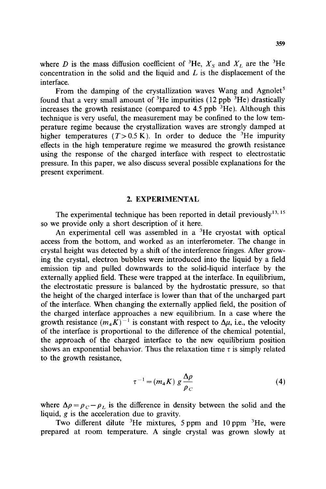where D is the mass diffusion coefficient of <sup>3</sup>He,  $X_s$  and  $X_t$  are the <sup>3</sup>He concentration in the solid and the liquid and  $L$  is the displacement of the interface.

From the damping of the crystallization waves Wang and Agnolet<sup>5</sup> found that a very small amount of <sup>3</sup>He impurities (12 ppb  $\overline{3}$ He) drastically increases the growth resistance (compared to  $4.5$  ppb  ${}^{3}$ He). Although this technique is very useful, the measurement may be confined to the low temperature regime because the crystallization waves are strongly damped at higher temperatures  $(T>0.5 \text{ K})$ . In order to deduce the <sup>3</sup>He impurity effects in the high temperature regime we measured the growth resistance using the response of the charged interface with respect to electrostatic pressure. In this paper, we also discuss several possible explanations for the present experiment.

#### **2. EXPERIMENTAL**

The experimental technique has been reported in detail previously $^{13, 15}$ so we provide only a short description of it here.

An experimental cell was assembled in a  ${}^{3}$ He cryostat with optical access from the bottom, and worked as an interferometer. The change in crystal height was detected by a shift of the interference fringes. After growing the crystal, electron bubbles were introduced into the liquid by a field emission tip and pulled downwards to the solid-liquid interface by the externally applied field. These were trapped at the interface. In equilibrium, the electrostatic pressure is balanced by the hydrostatic pressure, so that the height of the charged interface is lower than that of the uncharged part of the interface. When changing the externally applied field, the position of the charged interface approaches a new equilibrium. In a case where the growth resistance  $(m_A K)^{-1}$  is constant with respect to  $\Delta \mu$ , i.e., the velocity of the interface is proportional to the difference of the chemical potential, the approach of the charged interface to the new equilibrium position shows an exponential behavior. Thus the relaxation time  $\tau$  is simply related to the growth resistance,

$$
\tau^{-1} = (m_4 K) g \frac{\Delta \rho}{\rho_C} \tag{4}
$$

where  $\Delta \rho = \rho_c - \rho_L$  is the difference in density between the solid and the liquid,  $g$  is the acceleration due to gravity.

Two different dilute 3He mixtures, *5* ppm and **10** ppm 3He, were prepared at room temperature. A single crystal was grown slowly at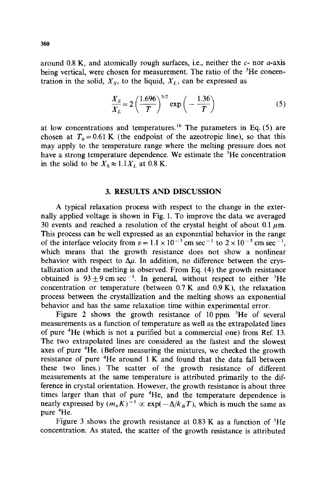around 0.8 K, and atomically rough surfaces, i.e., neither the *c-* nor a-axis being vertical, were chosen for measurement. The ratio of the <sup>3</sup>He concentration in the solid,  $X<sub>S</sub>$ , to the liquid,  $X<sub>L</sub>$ , can be expressed as

$$
\frac{X_S}{X_L} = 2\left(\frac{1.696}{T}\right)^{3/2} \exp\left(-\frac{1.36}{T}\right) \tag{5}
$$

at low concentrations and temperatures.<sup>16</sup> The parameters in Eq.  $(5)$  are chosen at  $T_0 = 0.61$  K (the endpoint of the azeotropic line), so that this may apply to the temperature range where the melting pressure does not have a strong temperature dependence. We estimate the  ${}^{3}$ He concentration in the solid to be  $X_s \approx 1.1 X_t$  at 0.8 K.

### **3. RESULTS AND DISCUSSION**

**A** typical relaxation process with respect to the change in the externally applied voltage is shown in Fig. 1. To improve the data we averaged 30 events and reached a resolution of the crystal height of about 0.1  $\mu$ m. This process can be well expressed as an exponential behavior in the range of the interface velocity from  $v = 1.1 \times 10^{-3}$  cm sec<sup>-1</sup> to  $2 \times 10^{-5}$  cm sec<sup>-1</sup>, which means that the growth resistance does not show a nonlinear behavior with respect to  $\Delta \mu$ . In addition, no difference between the crystallization and the melting is observed. From **Eq.** (4) the growth resistance obtained is  $93 \pm 9$  cm sec<sup>-1</sup>. In general, without respect to either <sup>3</sup>He concentration or temperature (between  $0.7 K$  and  $0.9 K$ ), the relaxation process between the crystallization and the melting shows an exponential behavior and has the same relaxation time within experimental error.

Figure 2 shows the growth resistance of 10 ppm  ${}^{3}$ He of several measurements as a function of temperature as well as the extrapolated lines of pure 4He (which is not a purified but a commercial one) from Ref. 13. The two extrapolated lines are considered as the fastest and the slowest axes of pure 4He. (Before measuring the mixtures, we checked the growth resistance of pure  $4$ He around 1 K and found that the data fall between these two lines.) The scatter of the growth resistance of different measurements at the same temperature is attributed primarily to the difference in crystal orientation. However, the growth resistance is about three times larger than that of pure <sup>4</sup>He, and the temperature dependence is nearly expressed by  $(m_4K)^{-1} \propto \exp(-\Delta/k_B T)$ , which is much the same as pure 4He.

Figure 3 shows the growth resistance at  $0.83$  K as a function of  ${}^{3}$ He concentration. As stated, the scatter of the growth resistance is attributed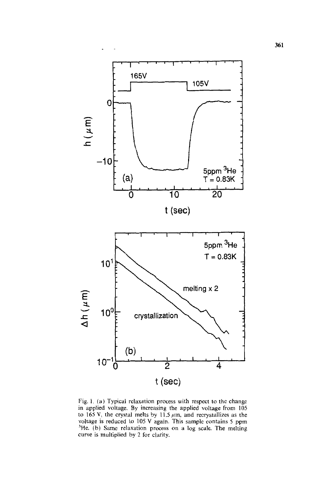

Fig. I. (a) Typical relaxation process with respect to the change in applied voltage. By increasing the applied voltage from 105 to 165 V, the crystal melts by 11.5  $\mu$ m, and recrystallizes as the voltage is reduced to 105 V again. This sample contains 5 ppm <sup>3</sup>He. (b) Same relaxation process on a log scale. The melting curve is multiplied by 2 for clarity.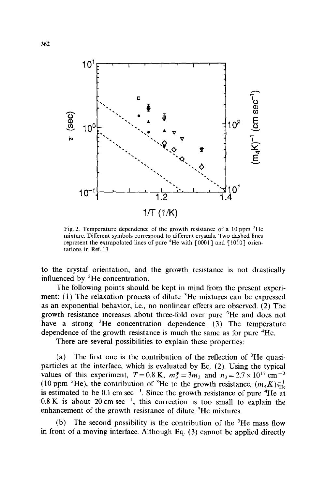

Fig. 2. Temperature dependence of the growth resistance of a 10 ppm **'He**  mixture. Different symbols correspond to different crystals. Two dashed lines represent the extrapolated lines of pure  $4$ He with  $[0001]$  and  $[10\overline{10}]$  orientations in Ref. 13.

to the crystal orientation, and the growth resistance is not drastically influenced by  ${}^{3}$ He concentration.

The following points should be kept in mind from the present experiment:  $(1)$  The relaxation process of dilute <sup>3</sup>He mixtures can be expressed as an exponential behavior, i.e., no nonlinear effects are observed. (2) The growth resistance increases about three-fold over pure 4He and does not have a strong <sup>3</sup>He concentration dependence. (3) The temperature dependence of the growth resistance is much the same as for pure 4He.

There are several possibilities to explain these properties:

(a) The first one is the contribution of the reflection of  ${}^{3}$ He quasiparticles at the interface, which is evaluated by Eq. (2). Using the typical values of this experiment,  $T = 0.8$  K,  $m_3^* = 3m_3$ , and  $n_3 = 2.7 \times 10^{17}$  cm<sup>-3</sup> (10 ppm <sup>3</sup>He), the contribution of <sup>3</sup>He to the growth resistance,  $(m_4K)_{\text{He}}^{-1}$ is estimated to be 0.1 cm sec<sup>-1</sup>. Since the growth resistance of pure <sup>4</sup>He at  $0.8 \text{ K}$  is about 20 cm sec<sup>-1</sup>, this correction is too small to explain the enhancement of the growth resistance of dilute  ${}^{3}$ He mixtures.

(b) The second possibility is the contribution of the  ${}^{3}$ He mass flow in front of a moving interface. Although Eq. **(3)** cannot be applied directly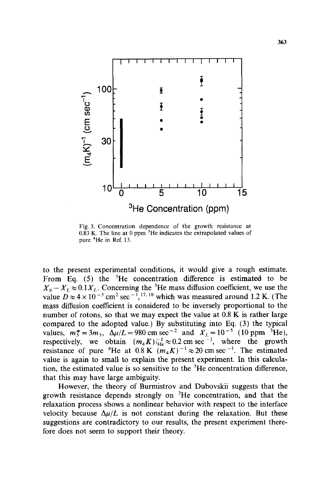

Fig. **3.** Concentration dependence of the growth resistance at  $0.83$  K. The line at 0 ppm  $3$ He indicates the extrapolated values of pure **4He** in Ref. 13.

to the present experimental conditions, it would give a rough estimate. From Eq.  $(5)$  the <sup>3</sup>He concentration difference is estimated to be  $X_S - X_L \approx 0.1 X_L$ . Concerning the <sup>3</sup>He mass diffusion coefficient, we use the value  $D \approx 4 \times 10^{-3}$  cm<sup>2</sup> sec<sup>-1</sup>, <sup>17, 18</sup> which was measured around 1.2 K. (The mass diffusion coefficient is considered to be inversely proportional to the number of rotons, so that we may expect the value at 0.8 **K** is rather large compared to the adopted value.) By substituting into **Eq. (3)** the typical values,  $m_3^* = 3m_3$ ,  $\Delta \mu/L = 980$  cm sec<sup>-2</sup> and  $X_L = 10^{-5}$  (10 ppm <sup>3</sup>He), respectively, we obtain  $(m_4 K)^{-1}_{\text{He}} \approx 0.2 \text{ cm} \text{ sec}^{-1}$ , where the growth resistance of pure <sup>4</sup>He at  $0.8 \text{ K } (m_4 K)^{-1} \approx 20 \text{ cm } \text{sec}^{-1}$ . The estimated value is again to small to explain the present experiment. In this calculation, the estimated value is so sensitive to the  ${}^{3}$ He concentration difference, that this may have large ambiguity.

However, the theory of Burmistrov and Dubovskii suggests that the growth resistance depends strongly on 3He concentration, and that the relaxation process shows a nonlinear behavior with respect to the interface velocity because  $\Delta \mu / L$  is not constant during the relaxation. But these suggestions are contradictory to our results, the present experiment therefore does not seem to support their theory.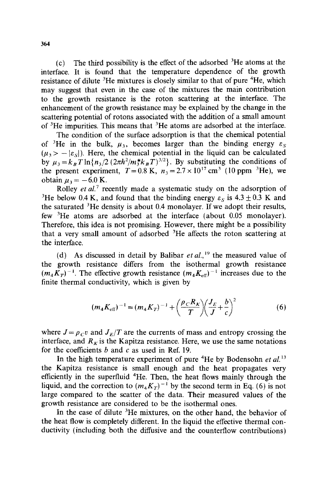(c) The third possibility is the effect of the adsorbed  ${}^{3}$ He atoms at the interface. It is found that the temperature dependence of the growth resistance of dilute <sup>3</sup>He mixtures is closely similar to that of pure <sup>4</sup>He, which may suggest that even in the case of the mixtures the main contribution to the growth resistance is the roton scattering at the interface. The enhancement of the growth resistance may be explained by the change in the scattering potential of rotons associated with the addition of a small amount of  $3$ He impurities. This means that  $3$ He atoms are adsorbed at the interface.

The condition of the surface adsorption is that the chemical potential of <sup>3</sup>He in the bulk,  $\mu_3$ , becomes larger than the binding energy  $\varepsilon_s$ of <sup>3</sup>He in the bulk,  $\mu_3$ , becomes larger than the binding energy  $\varepsilon_S$ <br>( $\mu_3 > -|\varepsilon_S|$ ). Here, the chemical potential in the liquid can be calculated by  $\mu_3 = k_B T \ln \{n_3/2 (2\pi \hbar^2 / m_3^* k_B T)^{3/2} \}$ . By substituting the conditions of the present experiment,  $T = 0.8$  K,  $n_3 = 2.7 \times 10^{17}$  cm<sup>3</sup> (10 ppm<sup>3</sup>He), we obtain  $\mu_3 = -6.0$  K.

Rolley *et al.*<sup>7</sup> recently made a systematic study on the adsorption of <sup>3</sup>He below 0.4 K, and found that the binding energy  $\varepsilon_s$  is 4.3  $\pm$  0.3 K and the saturated 'He density is about 0.4 monolayer. If we adopt their results, few 'He atoms are adsorbed at the interface (about 0.05 monolayer). Therefore, this idea is not promising. However, there might be a possibility that a very small amount of adsorbed 'He affects the roton scattering at the interface.

(d) As discussed in detail by Balibar et al.,<sup>19</sup> the measured value of the growth resistance differs from the isothermal growth resistance  $(m_4K_T)^{-1}$ . The effective growth resistance  $(m_4K_{\text{eff}})^{-1}$  increases due to the finite thermal conductivity, which is given by

$$
(m_4 K_{\text{eff}})^{-1} = (m_4 K_T)^{-1} + \left(\frac{\rho_C R_K}{T}\right)\left(\frac{J_E}{J} + \frac{b}{c}\right)^2 \tag{6}
$$

where  $J = \rho_C v$  and  $J_E/T$  are the currents of mass and entropy crossing the interface, and  $R_k$  is the Kapitza resistance. Here, we use the same notations for the coefficients b and c as used in Ref. 19.

In the high temperature experiment of pure <sup>4</sup>He by Bodensohn *et al.*<sup>13</sup> the Kapitza resistance is small enough and the heat propagates very efficiently in the superfluid <sup>4</sup>He. Then, the heat flows mainly through the liquid, and the correction to  $(m_4K_T)^{-1}$  by the second term in Eq. (6) is not large compared to the scatter of the data. Their measured values of the growth resistance are considered to be the isothermal ones.

In the case of dilute  ${}^{3}$ He mixtures, on the other hand, the behavior of the heat flow is completely different. In the liquid the effective thermal conductivity (including both the diffusive and the counterflow contributions)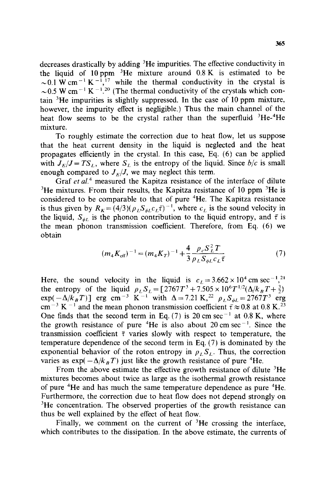decreases drastically by adding 3He impurities. The effective conductivity in the liquid of 10 ppm  $3$ He mixture around 0.8 K is estimated to be  $\sim$  0.1 W cm<sup>-1</sup> K<sup>-1</sup>,<sup>17</sup> while the thermal conductivity in the crystal is  $\sim$  0.5 W cm<sup>-1</sup> K<sup>-1</sup>.<sup>20</sup> (The thermal conductivity of the crystals which contain  $3$ He impurities is slightly suppressed. In the case of 10 ppm mixture, however, the impurity effect is negligible.) Thus the main channel of the heat flow seems to be the crystal rather than the superfluid  ${}^{3}He^{-4}He$ mixture.

To roughly estimate the correction due to heat flow, let us suppose that the heat current density in the liquid is neglected and the heat propagates efficiently in the crystal. In this case, Eq. (6) can be applied with  $J_E/J = TS_L$ , where  $S_L$  is the entropy of the liquid. Since  $b/c$  is small enough compared to  $J_E/J$ , we may neglect this term.

Graf et al.<sup>4</sup> measured the Kapitza resistance of the interface of dilute  $3$ He mixtures. From their results, the Kapitza resistance of 10 ppm  $3$ He is considered to be comparable to that of pure 4He. The Kapitza resistance is thus given by  $R_K = (4/3)(\rho_L S_{\phi L} c_L \bar{\tau})^{-1}$ , where  $c_L$  is the sound velocity in the liquid,  $S_{\phi L}$  is the phonon contribution to the liquid entropy, and  $\bar{\tau}$  is the mean phonon transmission coefficient. Therefore, from Eq. (6) we obtain

$$
(m_4 K_{\text{eff}})^{-1} = (m_4 K_T)^{-1} + \frac{4}{3} \frac{\rho_c S_L^2 T}{\rho_L S_{\phi L} c_L \bar{\tau}}
$$
(7)

Here, the sound velocity in the liquid is  $c_L = 3.662 \times 10^4$  cm sec<sup>-1</sup>,<sup>21</sup> the entropy of the liquid  $\rho_L S_L = [2767T^3 + 7.505 \times 10^6 T^{1/2} (\Delta/k_B T + \frac{3}{2})]$  $exp(-\Delta/k_BT)$ ] erg cm<sup>-3</sup> K<sup>-1</sup> with  $\Delta = 7.21$  K,<sup>22</sup>  $\rho_L S_{\phi L} = 2767T^3$  erg cm<sup>-3</sup> K<sup>-1</sup> and the mean phonon transmission coefficient  $\bar{\tau} \approx 0.8$  at 0.8 K.<sup>23</sup> One finds that the second term in Eq. (7) is 20 cm sec<sup>-1</sup> at 0.8 K, where the growth resistance of pure <sup>4</sup>He is also about 20 cm sec<sup>-1</sup>. Since the transmission coefficient  $\bar{\tau}$  varies slowly with respect to temperature, the temperature dependence of the second term in Eq. (7) is dominated by the exponential behavior of the roton entropy in  $\rho_L S_L$ . Thus, the correction varies as  $\exp(-\Delta/k_BT)$  just like the growth resistance of pure <sup>4</sup>He.

From the above estimate the effective growth resistance of dilute  ${}^{3}$ He mixtures becomes about twice as large as the isothermal growth resistance of pure 4He and has much the same temperature dependence as pure 4He. Furthermore, the correction due to heat flow does not depend strongly on <sup>3</sup>He concentration. The observed properties of the growth resistance can thus be well explained by the effect of heat flow.

Finally, we comment on the current of  ${}^{3}$ He crossing the interface, which contributes to the dissipation. In the above estimate, the currents of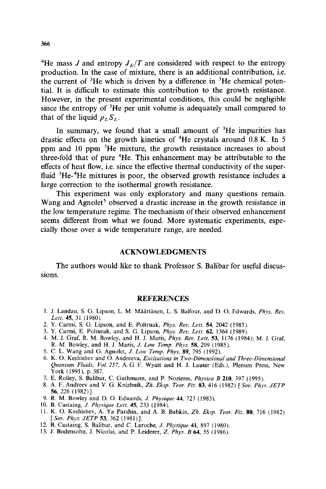<sup>4</sup>He mass *J* and entropy  $J_E/T$  are considered with respect to the entropy production. In the case of mixture, there is an additional contribution, i.e. the current of  ${}^{3}$ He which is driven by a difference in  ${}^{3}$ He chemical potential. It is difficult to estimate this contribution to the growth resistance. However, in the present experimental conditions, this could be negligible since the entropy of  ${}^{3}$ He per unit volume is adequately small compared to that of the liquid  $\rho_L S_L$ .

In summary, we found that a small amount of  ${}^{3}$ He impurities has drastic effects on the growth kinetics of  $4$ He crystals around 0.8 K. In 5 ppm and 10 ppm <sup>3</sup>He mixture, the growth resistance increases to about three-fold that of pure  ${}^{4}$ He. This enhancement may be attributable to the effects of heat flow, i.e. since the effective thermal conductivity of the superfluid  ${}^{3}$ He- ${}^{4}$ He mixtures is poor, the observed growth resistance includes a large correction to the isothermal growth resistance.

This experiment was only exploratory and many questions remain. Wang and Agnolet<sup>5</sup> observed a drastic increase in the growth resistance in the low temperature regime. The mechanism of their observed enhancement seems different from what we found. More systematic experiments, especially those over a wide temperature range, are needed.

#### **ACKNOWLEDGMENTS**

The authors would like to thank Professor S. Balibar for useful discussions.

#### **REFERENCES**

- 1. J. Landau, S. G. Lipson, L. M. Maattanen, L. S. Balfour, and D. 0. Edwards, *Phys. Rev. Lett.* **45,** 31 (1980).
- 2. Y. Carmi, S. G. Lipson, and E. Poltruak, *Phys. Rev. Lett.* **54,** 2042 (1985).
- **3.** Y. Carmi, E. Polturak, and S. G. Lipson, *Phys. Rev. Lett.* **62,** 1364 (1989).
- 4. M. J. Graf, R. M. Bowley, and H. J. Maris, *Phys. Rev. Lett.* **53,** 1176 (1984); M. J. Graf, R. M. Bowley, and H. J. Maris, *J. Low Temp. Phys.* **58,** 209 (1985).
- 5. C. L. Wang and G. Agnolet, *J. Low Temp. Phys.* **89,** 795 (1992).
- 6. K. 0. Keshishev and 0. Andreeva, *Excitations in Two-Dimensional and Three-Dimensional Quantum Fluids, Vol.* 257, A. G. F. Wyatt and H. J. Lauter (Eds.), Plenum Press, New York (1991), p. 387.
- 7. E. Rolley, S. Balibar, C. Guthmann, and P. Nozieres, *Physica B* 210, 397 (1995).
- 8. A. F. Andreev and V. G. Knizhnik, *Zh. Eksp. Teor. Fiz.* **83,** 416 (1982) *[Sou. Phys. JETP*  **56**, 226 (1982)].
- 9. R. M. Bowley and D. 0. Edwards, J. *Physique* 44, 723 (1983).
- 10. B. Castaing, *J. Physique Lett.* **45,** 233 (1984).
- 11. K. 0. Keshishev, A. Ya Parshin, and A. B. Babkin, *Zh. Eksp. Teor. Fiz.* **80,** 716 (1982) *[Sov. Phys. JETP* **53**, 362 (1981)].
- 12. B. Castaing, S. Balibar, and C. Laroche, *J. Physique* 41, 897 (1980).
- 13. J. Bodensohn, J. Nicolai, and P. Leiderer, 2. *Phys.* B **64,** *55* (1986).